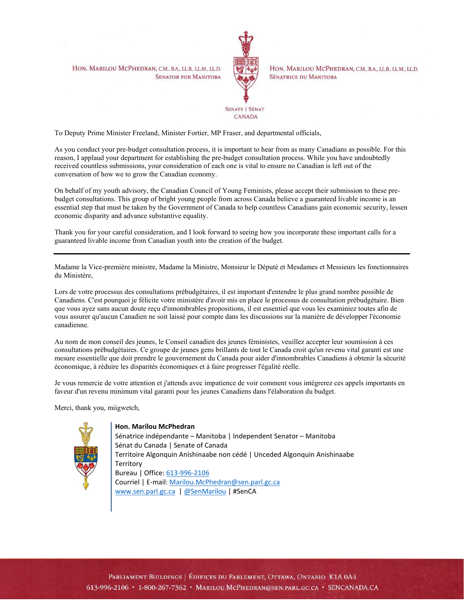HON. MARILOU MCPHEDRAN, C.M., B.A., LL.B., LL.M., LL.D. **SENATOR FOR MANITOBA** 



HON. MARILOU MCPHEDRAN, C.M., B.A., LL.B., LL.M., LL.D. SÉNATRICE DU MANITOBA

## **SENATE | SÉNAT CANADA**

To Deputy Prime Minister Freeland, Minister Fortier, MP Fraser, and departmental officials,

As you conduct your pre-budget consultation process, it is important to hear from as many Canadians as possible. For this reason, I applaud your department for establishing the pre-budget consultation process. While you have undoubtedly received countless submissions, your consideration of each one is vital to ensure no Canadian is left out of the conversation of how we to grow the Canadian economy.

On behalf of my youth advisory, the Canadian Council of Young Feminists, please accept their submission to these prebudget consultations. This group of bright young people from across Canada believe a guaranteed livable income is an essential step that must be taken by the Government of Canada to help countless Canadians gain economic security, lessen economic disparity and advance substantive equality.

Thank you for your careful consideration, and I look forward to seeing how you incorporate these important calls for a guaranteed livable income from Canadian youth into the creation of the budget.

Madame la Vice-première ministre, Madame la Ministre, Monsieur le Député et Mesdames et Messieurs les fonctionnaires du Ministère,

Lors de votre processus des consultations prébudgétaires, il est important d'entendre le plus grand nombre possible de Canadiens. C'est pourquoi je félicite votre ministère d'avoir mis en place le processus de consultation prébudgétaire. Bien que vous ayez sans aucun doute reçu d'innombrables propositions, il est essentiel que vous les examiniez toutes afin de vous assurer qu'aucun Canadien ne soit laissé pour compte dans les discussions sur la manière de développer l'économie canadienne.

Au nom de mon conseil des jeunes, le Conseil canadien des jeunes féministes, veuillez accepter leur soumission à ces consultations prébudgétaires. Ce groupe de jeunes gens brillants de tout le Canada croit qu'un revenu vital garanti est une mesure essentielle que doit prendre le gouvernement du Canada pour aider d'innombrables Canadiens à obtenir la sécurité économique, à réduire les disparités économiques et à faire progresser l'égalité réelle.

Je vous remercie de votre attention et j'attends avec impatience de voir comment vous intégrerez ces appels importants en faveur d'un revenu minimum vital garanti pour les jeunes Canadiens dans l'élaboration du budget.

Merci, thank you, miigwetch,



**Hon. Marilou McPhedran**

Sénatrice indépendante – Manitoba | Independent Senator – Manitoba Sénat du Canada | Senate of Canada Territoire Algonquin Anishinaabe non cédé | Unceded Algonquin Anishinaabe **Territory** Bureau | Office: [613-996-2106](tel:613-996-2106) Courriel | E-mail: [Marilou.McPhedran@sen.parl.gc.ca](mailto:Marilou.McPhedran@sen.parl.gc.ca) [www.sen.parl.gc.ca](http://www.sen.parl.gc.ca/) | @SenMarilou | #SenCA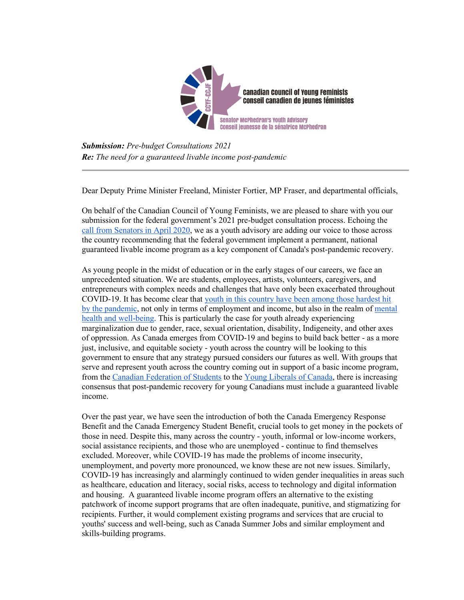

*Submission: Pre-budget Consultations 2021 Re: The need for a guaranteed livable income post-pandemic*

Dear Deputy Prime Minister Freeland, Minister Fortier, MP Fraser, and departmental officials,

On behalf of the Canadian Council of Young Feminists, we are pleased to share with you our submission for the federal government's 2021 pre-budget consultation process. Echoing the [call from Senators in April 2020,](https://99ef1c2f-cf4f-4886-a2a6-e608d33a7c01.filesusr.com/ugd/138236_ba7a4dd75e85420994980904ba220a12.pdf) we as a youth advisory are adding our voice to those across the country recommending that the federal government implement a permanent, national guaranteed livable income program as a key component of Canada's post-pandemic recovery.

As young people in the midst of education or in the early stages of our careers, we face an unprecedented situation. We are students, employees, artists, volunteers, caregivers, and entrepreneurs with complex needs and challenges that have only been exacerbated throughout COVID-19. It has become clear that [youth in this country have been among those hardest hit](https://www.ctvnews.ca/health/coronavirus/easily-a-decade-before-canada-s-youth-recover-economically-from-pandemic-experts-say-1.5294238)  by [the pandemic,](https://www.ctvnews.ca/health/coronavirus/easily-a-decade-before-canada-s-youth-recover-economically-from-pandemic-experts-say-1.5294238) not only in terms of employment and income, but also in the realm of [mental](https://vanierinstitute.ca/covid-19-impacts-youth-well-being-in-canada/)  [health and well-being.](https://vanierinstitute.ca/covid-19-impacts-youth-well-being-in-canada/) This is particularly the case for youth already experiencing marginalization due to gender, race, sexual orientation, disability, Indigeneity, and other axes of oppression. As Canada emerges from COVID-19 and begins to build back better - as a more just, inclusive, and equitable society - youth across the country will be looking to this government to ensure that any strategy pursued considers our futures as well. With groups that serve and represent youth across the country coming out in support of a basic income program, from the [Canadian Federation of Students](http://uniter.ca/view/the-student-case-for-a-basic-income) to the [Young Liberals of Canada,](https://www.facebook.com/ylcjlc/photos/a.137289409676279/5064631143608723) there is increasing consensus that post-pandemic recovery for young Canadians must include a guaranteed livable income.

Over the past year, we have seen the introduction of both the Canada Emergency Response Benefit and the Canada Emergency Student Benefit, crucial tools to get money in the pockets of those in need. Despite this, many across the country - youth, informal or low-income workers, social assistance recipients, and those who are unemployed - continue to find themselves excluded. Moreover, while COVID-19 has made the problems of income insecurity, unemployment, and poverty more pronounced, we know these are not new issues. Similarly, COVID-19 has increasingly and alarmingly continued to widen gender inequalities in areas such as healthcare, education and literacy, social risks, access to technology and digital information and housing. A guaranteed livable income program offers an alternative to the existing patchwork of income support programs that are often inadequate, punitive, and stigmatizing for recipients. Further, it would complement existing programs and services that are crucial to youths' success and well-being, such as Canada Summer Jobs and similar employment and skills-building programs.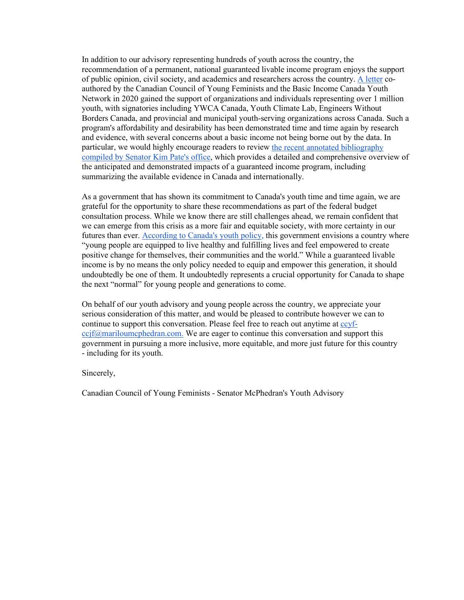In addition to our advisory representing hundreds of youth across the country, the recommendation of a permanent, national guaranteed livable income program enjoys the support of public opinion, civil society, and academics and researchers across the country. [A letter](https://99ef1c2f-cf4f-4886-a2a6-e608d33a7c01.filesusr.com/ugd/138236_a0d1f9b6362c4ec0b019d781c68cebe8.pdf) coauthored by the Canadian Council of Young Feminists and the Basic Income Canada Youth Network in 2020 gained the support of organizations and individuals representing over 1 million youth, with signatories including YWCA Canada, Youth Climate Lab, Engineers Without Borders Canada, and provincial and municipal youth-serving organizations across Canada. Such a program's affordability and desirability has been demonstrated time and time again by research and evidence, with several concerns about a basic income not being borne out by the data. In particular, we would highly encourage readers to review [the recent annotated bibliography](https://drive.google.com/file/d/1Bz_RA5uYlH_SLkj9GRsOueLfag3PE7Zy/view)  [compiled by Senator Kim Pate's office,](https://drive.google.com/file/d/1Bz_RA5uYlH_SLkj9GRsOueLfag3PE7Zy/view) which provides a detailed and comprehensive overview of the anticipated and demonstrated impacts of a guaranteed income program, including summarizing the available evidence in Canada and internationally.

As a government that has shown its commitment to Canada's youth time and time again, we are grateful for the opportunity to share these recommendations as part of the federal budget consultation process. While we know there are still challenges ahead, we remain confident that we can emerge from this crisis as a more fair and equitable society, with more certainty in our futures than ever. [According to Canada's youth policy,](https://www.canada.ca/content/dam/y-j/documents/YP-ENG.pdf) this government envisions a country where "young people are equipped to live healthy and fulfilling lives and feel empowered to create positive change for themselves, their communities and the world." While a guaranteed livable income is by no means the only policy needed to equip and empower this generation, it should undoubtedly be one of them. It undoubtedly represents a crucial opportunity for Canada to shape the next "normal" for young people and generations to come.

On behalf of our youth advisory and young people across the country, we appreciate your serious consideration of this matter, and would be pleased to contribute however we can to continue to support this conversation. Please feel free to reach out anytime at [ccyf](mailto:ccyf-ccjf@mariloumcphedran.com) $ccif@maniloumephedran.com.$  We are eager to continue this conversation and support this government in pursuing a more inclusive, more equitable, and more just future for this country - including for its youth.

Sincerely,

Canadian Council of Young Feminists - Senator McPhedran's Youth Advisory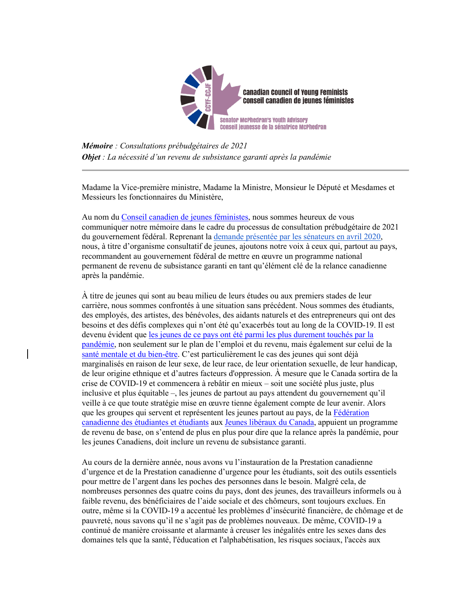

*Mémoire : Consultations prébudgétaires de 2021 Objet : La nécessité d'un revenu de subsistance garanti après la pandémie*

Madame la Vice-première ministre, Madame la Ministre, Monsieur le Député et Mesdames et Messieurs les fonctionnaires du Ministère,

Au nom du [Conseil canadien de jeunes féministes,](https://www.ccyf-ccjf.com/) nous sommes heureux de vous communiquer notre mémoire dans le cadre du processus de consultation prébudgétaire de 2021 du gouvernement fédéral. Reprenant la [demande présentée par les sénateurs en avril](https://sencanada.ca/media/366254/senpate_open-letter_2020-04-21_canadian_emergency_response_benefit_f.pdf) 2020, nous, à titre d'organisme consultatif de jeunes, ajoutons notre voix à ceux qui, partout au pays, recommandent au gouvernement fédéral de mettre en œuvre un programme national permanent de revenu de subsistance garanti en tant qu'élément clé de la relance canadienne après la pandémie.

À titre de jeunes qui sont au beau milieu de leurs études ou aux premiers stades de leur carrière, nous sommes confrontés à une situation sans précédent. Nous sommes des étudiants, des employés, des artistes, des bénévoles, des aidants naturels et des entrepreneurs qui ont des besoins et des défis complexes qui n'ont été qu'exacerbés tout au long de la COVID-19. Il est devenu évident que [les jeunes de ce pays ont été parmi les plus durement touchés par la](https://www.ctvnews.ca/health/coronavirus/easily-a-decade-before-canada-s-youth-recover-economically-from-pandemic-experts-say-1.5294238)  [pandémie,](https://www.ctvnews.ca/health/coronavirus/easily-a-decade-before-canada-s-youth-recover-economically-from-pandemic-experts-say-1.5294238) non seulement sur le plan de l'emploi et du revenu, mais également sur celui de la [santé mentale et du bien-être.](https://institutvanier.ca/l-impact-de-la-covid-19-le-bien-etre-des-jeunes-au-canada/) C'est particulièrement le cas des jeunes qui sont déjà marginalisés en raison de leur sexe, de leur race, de leur orientation sexuelle, de leur handicap, de leur origine ethnique et d'autres facteurs d'oppression. À mesure que le Canada sortira de la crise de COVID-19 et commencera à rebâtir en mieux – soit une société plus juste, plus inclusive et plus équitable –, les jeunes de partout au pays attendent du gouvernement qu'il veille à ce que toute stratégie mise en œuvre tienne également compte de leur avenir. Alors que les groupes qui servent et représentent les jeunes partout au pays, de la Fédération [canadienne des étudiantes et étudiants](http://uniter.ca/view/the-student-case-for-a-basic-income) aux [Jeunes libéraux du Canada,](https://www.facebook.com/ylcjlc/photos/a.137289409676279/5064645593607278/?type=3&theater) appuient un programme de revenu de base, on s'entend de plus en plus pour dire que la relance après la pandémie, pour les jeunes Canadiens, doit inclure un revenu de subsistance garanti.

Au cours de la dernière année, nous avons vu l'instauration de la Prestation canadienne d'urgence et de la Prestation canadienne d'urgence pour les étudiants, soit des outils essentiels pour mettre de l'argent dans les poches des personnes dans le besoin. Malgré cela, de nombreuses personnes des quatre coins du pays, dont des jeunes, des travailleurs informels ou à faible revenu, des bénéficiaires de l'aide sociale et des chômeurs, sont toujours exclues. En outre, même si la COVID-19 a accentué les problèmes d'insécurité financière, de chômage et de pauvreté, nous savons qu'il ne s'agit pas de problèmes nouveaux. De même, COVID-19 a continué de manière croissante et alarmante à creuser les inégalités entre les sexes dans des domaines tels que la santé, l'éducation et l'alphabétisation, les risques sociaux, l'accès aux